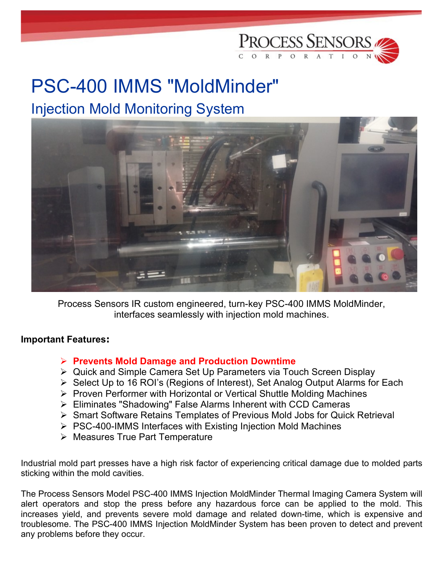

## PSC-400 IMMS "MoldMinder" Injection Mold Monitoring System



Process Sensors IR custom engineered, turn-key PSC-400 IMMS MoldMinder, interfaces seamlessly with injection mold machines.

## Important Features:

## $\triangleright$  Prevents Mold Damage and Production Downtime

- Quick and Simple Camera Set Up Parameters via Touch Screen Display
- ▶ Select Up to 16 ROI's (Regions of Interest), Set Analog Output Alarms for Each
- $\triangleright$  Proven Performer with Horizontal or Vertical Shuttle Molding Machines
- Eliminates "Shadowing" False Alarms Inherent with CCD Cameras
- Smart Software Retains Templates of Previous Mold Jobs for Quick Retrieval
- $\triangleright$  PSC-400-IMMS Interfaces with Existing Injection Mold Machines
- $\triangleright$  Measures True Part Temperature

Industrial mold part presses have a high risk factor of experiencing critical damage due to molded parts sticking within the mold cavities.

The Process Sensors Model PSC-400 IMMS Injection MoldMinder Thermal Imaging Camera System will alert operators and stop the press before any hazardous force can be applied to the mold. This increases yield, and prevents severe mold damage and related down-time, which is expensive and troublesome. The PSC-400 IMMS Injection MoldMinder System has been proven to detect and prevent any problems before they occur.